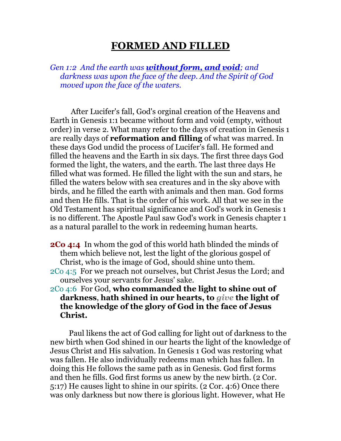## **FORMED AND FILLED**

*Gen 1:2 And the earth was without form, and void; and darkness was upon the face of the deep. And the Spirit of God moved upon the face of the waters.* 

 After Lucifer's fall, God's orginal creation of the Heavens and Earth in Genesis 1:1 became without form and void (empty, without order) in verse 2. What many refer to the days of creation in Genesis 1 are really days of **reformation and filling** of what was marred. In these days God undid the process of Lucifer's fall. He formed and filled the heavens and the Earth in six days. The first three days God formed the light, the waters, and the earth. The last three days He filled what was formed. He filled the light with the sun and stars, he filled the waters below with sea creatures and in the sky above with birds, and he filled the earth with animals and then man. God forms and then He fills. That is the order of his work. All that we see in the Old Testament has spiritual significance and God's work in Genesis 1 is no different. The Apostle Paul saw God's work in Genesis chapter 1 as a natural parallel to the work in redeeming human hearts.

- **2Co 4:4** In whom the god of this world hath blinded the minds of them which believe not, lest the light of the glorious gospel of Christ, who is the image of God, should shine unto them.
- 2Co 4:5 For we preach not ourselves, but Christ Jesus the Lord; and ourselves your servants for Jesus' sake.
- 2Co 4:6 For God, **who commanded the light to shine out of darkness**, **hath shined in our hearts, to** *give* **the light of the knowledge of the glory of God in the face of Jesus Christ.**

 Paul likens the act of God calling for light out of darkness to the new birth when God shined in our hearts the light of the knowledge of Jesus Christ and His salvation. In Genesis 1 God was restoring what was fallen. He also individually redeems man which has fallen. In doing this He follows the same path as in Genesis. God first forms and then he fills. God first forms us anew by the new birth. (2 Cor. 5:17) He causes light to shine in our spirits. (2 Cor. 4:6) Once there was only darkness but now there is glorious light. However, what He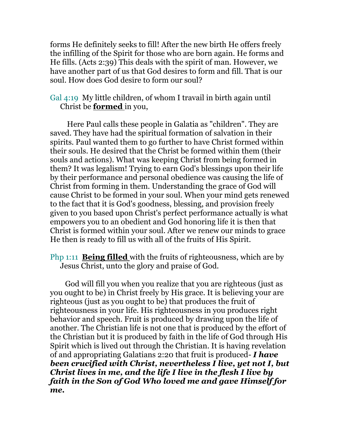forms He definitely seeks to fill! After the new birth He offers freely the infilling of the Spirit for those who are born again. He forms and He fills. (Acts 2:39) This deals with the spirit of man. However, we have another part of us that God desires to form and fill. That is our soul. How does God desire to form our soul?

## Gal 4:19 My little children, of whom I travail in birth again until Christ be **formed** in you,

 Here Paul calls these people in Galatia as "children". They are saved. They have had the spiritual formation of salvation in their spirits. Paul wanted them to go further to have Christ formed within their souls. He desired that the Christ be formed within them (their souls and actions). What was keeping Christ from being formed in them? It was legalism! Trying to earn God's blessings upon their life by their performance and personal obedience was causing the life of Christ from forming in them. Understanding the grace of God will cause Christ to be formed in your soul. When your mind gets renewed to the fact that it is God's goodness, blessing, and provision freely given to you based upon Christ's perfect performance actually is what empowers you to an obedient and God honoring life it is then that Christ is formed within your soul. After we renew our minds to grace He then is ready to fill us with all of the fruits of His Spirit.

Php 1:11 **Being filled** with the fruits of righteousness, which are by Jesus Christ, unto the glory and praise of God.

 God will fill you when you realize that you are righteous (just as you ought to be) in Christ freely by His grace. It is believing your are righteous (just as you ought to be) that produces the fruit of righteousness in your life. His righteousness in you produces right behavior and speech. Fruit is produced by drawing upon the life of another. The Christian life is not one that is produced by the effort of the Christian but it is produced by faith in the life of God through His Spirit which is lived out through the Christian. It is having revelation of and appropriating Galatians 2:20 that fruit is produced- *I have been crucified with Christ, nevertheless I live, yet not I, but Christ lives in me, and the life I live in the flesh I live by faith in the Son of God Who loved me and gave Himself for me.*